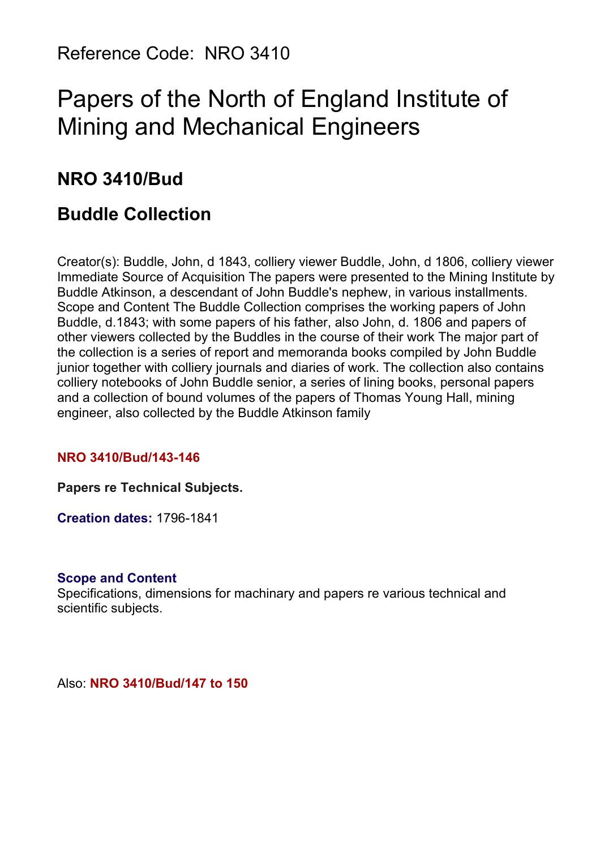Reference Code: NRO 3410

# Papers of the North of England Institute of Mining and Mechanical Engineers

# **NRO 3410/Bud**

# **Buddle Collection**

Creator(s): Buddle, John, d 1843, colliery viewer Buddle, John, d 1806, colliery viewer Immediate Source of Acquisition The papers were presented to the Mining Institute by Buddle Atkinson, a descendant of John Buddle's nephew, in various installments. Scope and Content The Buddle Collection comprises the working papers of John Buddle, d.1843; with some papers of his father, also John, d. 1806 and papers of other viewers collected by the Buddles in the course of their work The major part of the collection is a series of report and memoranda books compiled by John Buddle junior together with colliery journals and diaries of work. The collection also contains colliery notebooks of John Buddle senior, a series of lining books, personal papers and a collection of bound volumes of the papers of Thomas Young Hall, mining engineer, also collected by the Buddle Atkinson family

# **NRO 3410/Bud/143-146**

**Papers re Technical Subjects.**

**Creation dates:** 1796-1841

#### **Scope and Content**

Specifications, dimensions for machinary and papers re various technical and scientific subjects.

Also: **NRO 3410/Bud/147 to 150**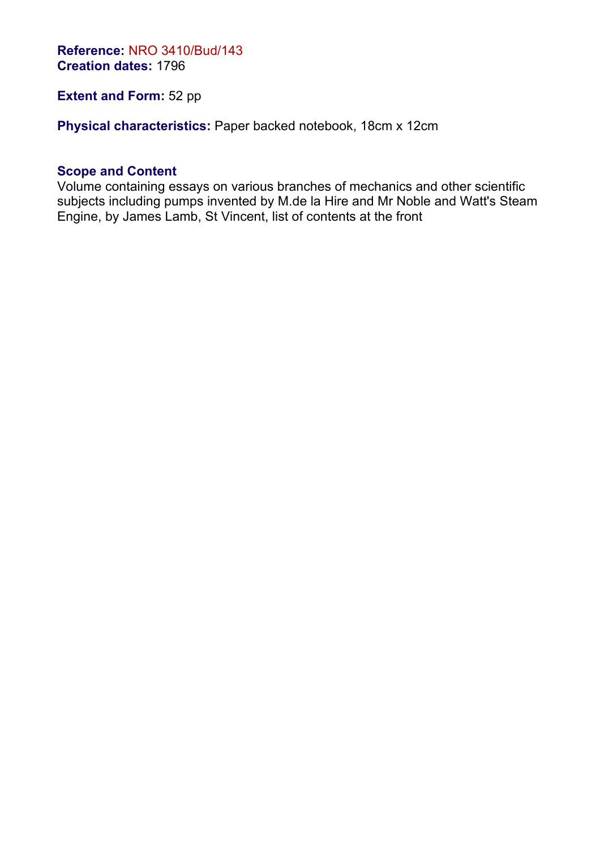**Reference:** NRO 3410/Bud/143 **Creation dates:** 1796

# **Extent and Form: 52 pp**

**Physical characteristics:** Paper backed notebook, 18cm x 12cm

#### **Scope and Content**

Volume containing essays on various branches of mechanics and other scientific subjects including pumps invented by M.de la Hire and Mr Noble and Watt's Steam Engine, by James Lamb, St Vincent, list of contents at the front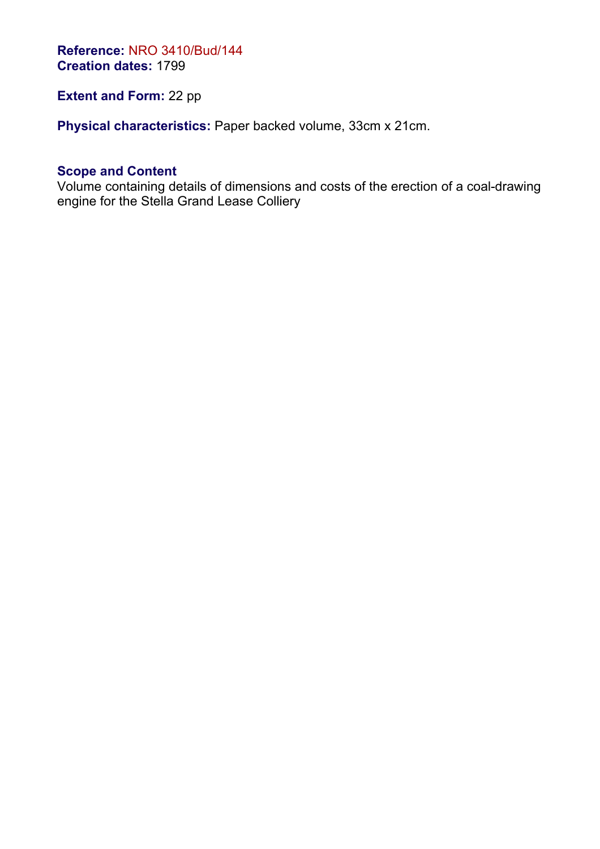**Reference:** NRO 3410/Bud/144 **Creation dates:** 1799

# **Extent and Form: 22 pp**

**Physical characteristics:** Paper backed volume, 33cm x 21cm.

## **Scope and Content**

Volume containing details of dimensions and costs of the erection of a coal-drawing engine for the Stella Grand Lease Colliery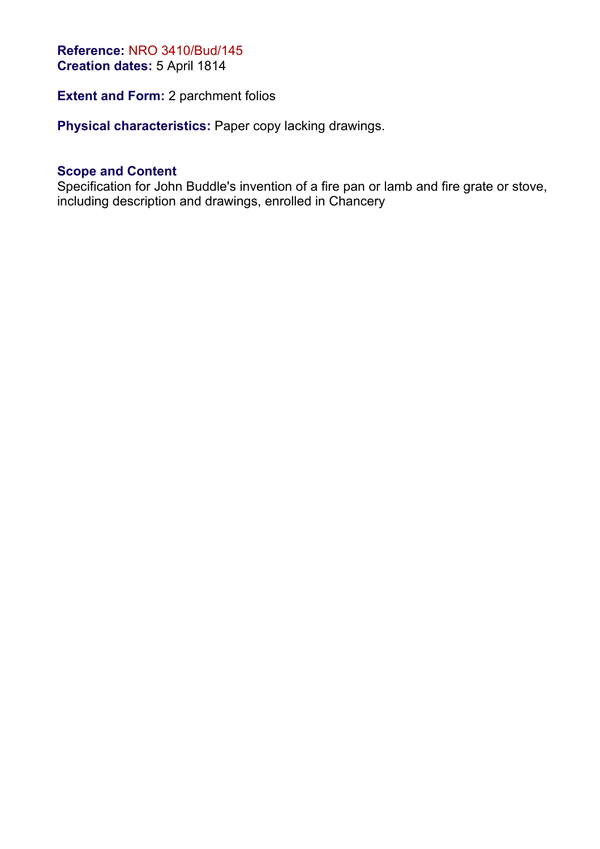#### **Reference:** NRO 3410/Bud/145 **Creation dates:** 5 April 1814

**Extent and Form: 2 parchment folios** 

**Physical characteristics:** Paper copy lacking drawings.

#### **Scope and Content**

Specification for John Buddle's invention of a fire pan or lamb and fire grate or stove, including description and drawings, enrolled in Chancery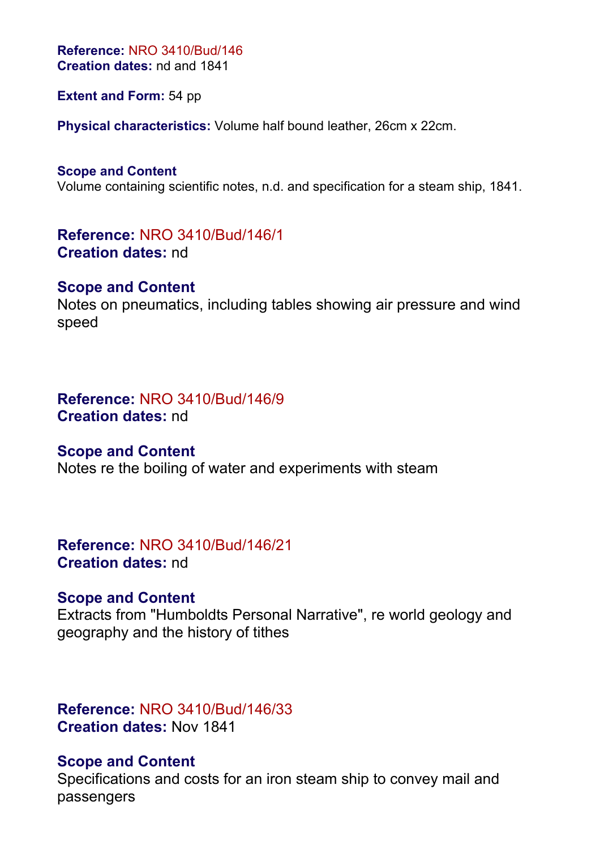**Reference:** NRO 3410/Bud/146 **Creation dates:** nd and 1841

**Extent and Form:** 54 pp

**Physical characteristics:** Volume half bound leather, 26cm x 22cm.

**Scope and Content** Volume containing scientific notes, n.d. and specification for a steam ship, 1841.

**Reference:** NRO 3410/Bud/146/1 **Creation dates:** nd

#### **Scope and Content**

Notes on pneumatics, including tables showing air pressure and wind speed

# **Reference:** NRO 3410/Bud/146/9 **Creation dates:** nd

#### **Scope and Content**

Notes re the boiling of water and experiments with steam

**Reference:** NRO 3410/Bud/146/21 **Creation dates:** nd

# **Scope and Content**

Extracts from "Humboldts Personal Narrative", re world geology and geography and the history of tithes

# **Reference:** NRO 3410/Bud/146/33 **Creation dates:** Nov 1841

# **Scope and Content**

Specifications and costs for an iron steam ship to convey mail and passengers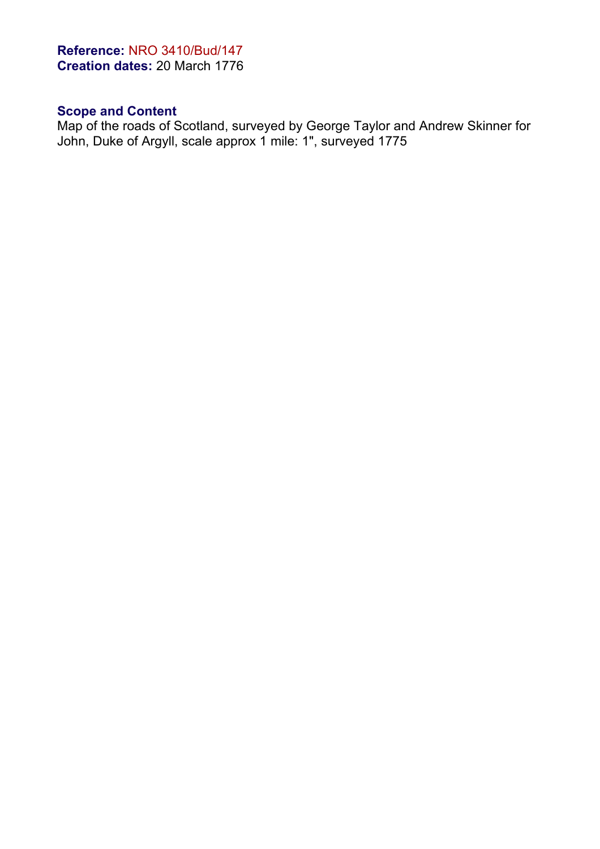# **Reference:** NRO 3410/Bud/147 **Creation dates:** 20 March 1776

# **Scope and Content**

Map of the roads of Scotland, surveyed by George Taylor and Andrew Skinner for John, Duke of Argyll, scale approx 1 mile: 1", surveyed 1775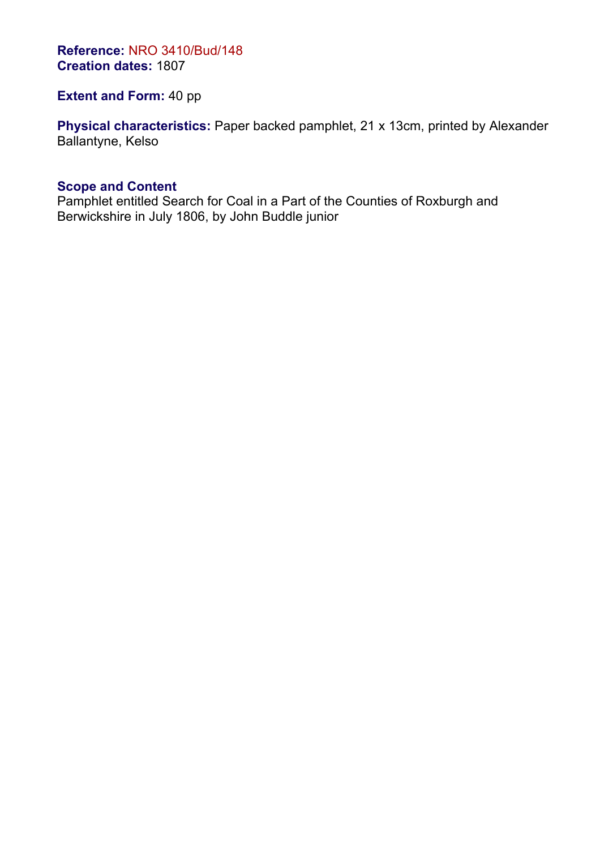**Reference:** NRO 3410/Bud/148 **Creation dates:** 1807

**Extent and Form:** 40 pp

**Physical characteristics:** Paper backed pamphlet, 21 x 13cm, printed by Alexander Ballantyne, Kelso

#### **Scope and Content**

Pamphlet entitled Search for Coal in a Part of the Counties of Roxburgh and Berwickshire in July 1806, by John Buddle junior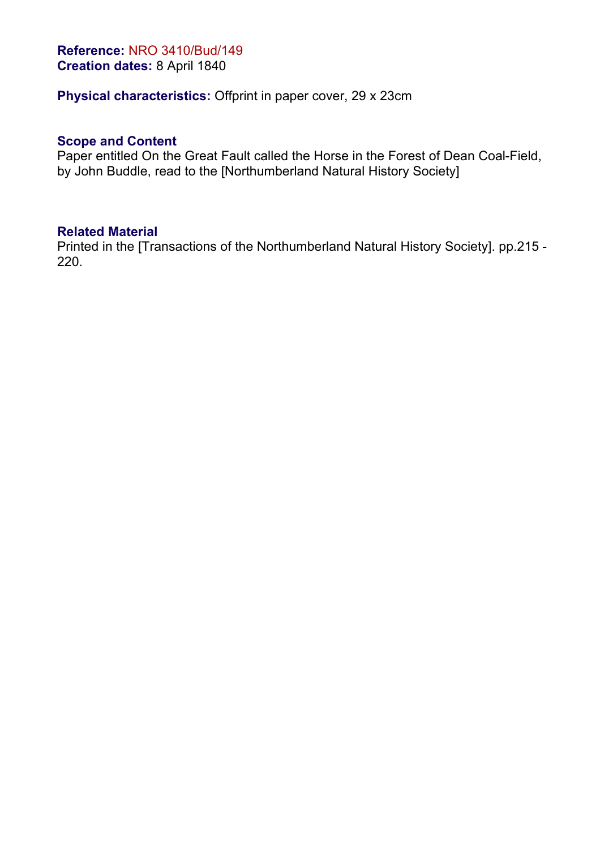#### **Reference:** NRO 3410/Bud/149 **Creation dates:** 8 April 1840

# **Physical characteristics:** Offprint in paper cover, 29 x 23cm

#### **Scope and Content**

Paper entitled On the Great Fault called the Horse in the Forest of Dean Coal-Field, by John Buddle, read to the [Northumberland Natural History Society]

#### **Related Material**

Printed in the [Transactions of the Northumberland Natural History Society]. pp.215 - 220.